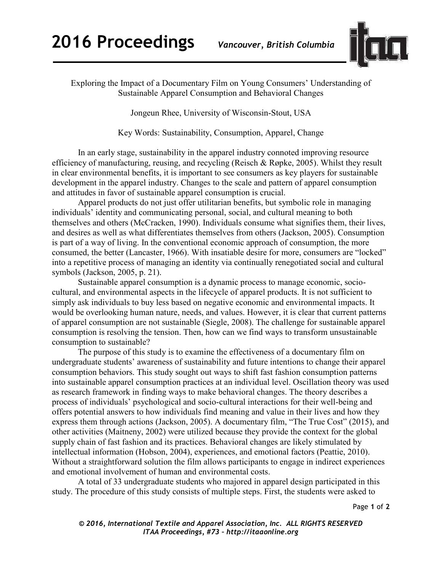

Exploring the Impact of a Documentary Film on Young Consumers' Understanding of Sustainable Apparel Consumption and Behavioral Changes

Jongeun Rhee, University of Wisconsin-Stout, USA

Key Words: Sustainability, Consumption, Apparel, Change

In an early stage, sustainability in the apparel industry connoted improving resource efficiency of manufacturing, reusing, and recycling (Reisch & Røpke, 2005). Whilst they result in clear environmental benefits, it is important to see consumers as key players for sustainable development in the apparel industry. Changes to the scale and pattern of apparel consumption and attitudes in favor of sustainable apparel consumption is crucial.

Apparel products do not just offer utilitarian benefits, but symbolic role in managing individuals' identity and communicating personal, social, and cultural meaning to both themselves and others (McCracken, 1990). Individuals consume what signifies them, their lives, and desires as well as what differentiates themselves from others (Jackson, 2005). Consumption is part of a way of living. In the conventional economic approach of consumption, the more consumed, the better (Lancaster, 1966). With insatiable desire for more, consumers are "locked" into a repetitive process of managing an identity via continually renegotiated social and cultural symbols (Jackson, 2005, p. 21).

Sustainable apparel consumption is a dynamic process to manage economic, sociocultural, and environmental aspects in the lifecycle of apparel products. It is not sufficient to simply ask individuals to buy less based on negative economic and environmental impacts. It would be overlooking human nature, needs, and values. However, it is clear that current patterns of apparel consumption are not sustainable (Siegle, 2008). The challenge for sustainable apparel consumption is resolving the tension. Then, how can we find ways to transform unsustainable consumption to sustainable?

The purpose of this study is to examine the effectiveness of a documentary film on undergraduate students' awareness of sustainability and future intentions to change their apparel consumption behaviors. This study sought out ways to shift fast fashion consumption patterns into sustainable apparel consumption practices at an individual level. Oscillation theory was used as research framework in finding ways to make behavioral changes. The theory describes a process of individuals' psychological and socio-cultural interactions for their well-being and offers potential answers to how individuals find meaning and value in their lives and how they express them through actions (Jackson, 2005). A documentary film, "The True Cost" (2015), and other activities (Maitneny, 2002) were utilized because they provide the context for the global supply chain of fast fashion and its practices. Behavioral changes are likely stimulated by intellectual information (Hobson, 2004), experiences, and emotional factors (Peattie, 2010). Without a straightforward solution the film allows participants to engage in indirect experiences and emotional involvement of human and environmental costs.

A total of 33 undergraduate students who majored in apparel design participated in this study. The procedure of this study consists of multiple steps. First, the students were asked to